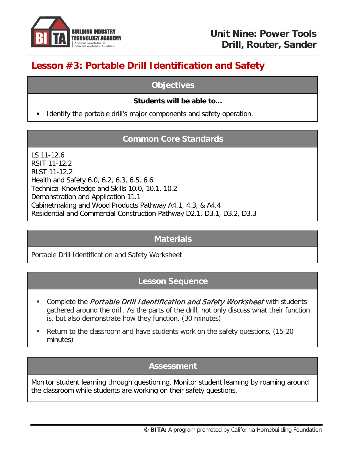

# **Lesson #3: Portable Drill Identification and Safety**

## **Objectives**

## **Students will be able to…**

Identify the portable drill's major components and safety operation.

# **Common Core Standards**

LS 11-12.6 RSIT 11-12.2 RLST 11-12.2 Health and Safety 6.0, 6.2, 6.3, 6.5, 6.6 Technical Knowledge and Skills 10.0, 10.1, 10.2 Demonstration and Application 11.1 Cabinetmaking and Wood Products Pathway A4.1, 4.3, & A4.4 Residential and Commercial Construction Pathway D2.1, D3.1, D3.2, D3.3

## **Materials**

Portable Drill Identification and Safety Worksheet

## **Lesson Sequence**

- **Complete the Portable Drill Identification and Safety Worksheet with students** gathered around the drill. As the parts of the drill, not only discuss what their function is, but also demonstrate how they function. (30 minutes)
- Return to the classroom and have students work on the safety questions. (15-20 minutes)

## **Assessment**

Monitor student learning through questioning. Monitor student learning by roaming around the classroom while students are working on their safety questions.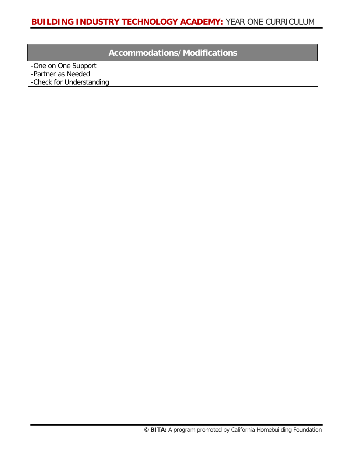# **Accommodations/Modifications**

-One on One Support -Partner as Needed -Check for Understanding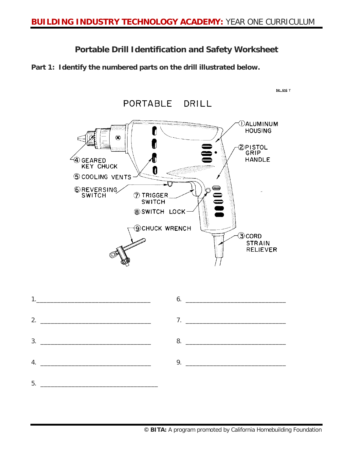**Portable Drill Identification and Safety Worksheet**

**Part 1: Identify the numbered parts on the drill illustrated below.**

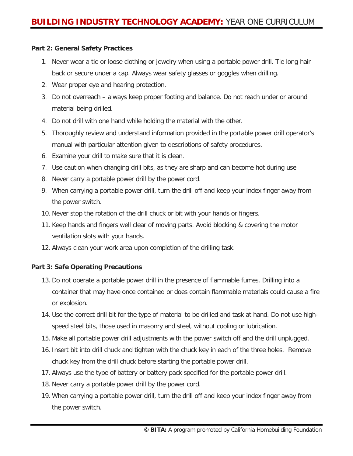#### **Part 2: General Safety Practices**

- 1. Never wear a tie or loose clothing or jewelry when using a portable power drill. Tie long hair back or secure under a cap. Always wear safety glasses or goggles when drilling.
- 2. Wear proper eye and hearing protection.
- 3. Do not overreach always keep proper footing and balance. Do not reach under or around material being drilled.
- 4. Do not drill with one hand while holding the material with the other.
- 5. Thoroughly review and understand information provided in the portable power drill operator's manual with particular attention given to descriptions of safety procedures.
- 6. Examine your drill to make sure that it is clean.
- 7. Use caution when changing drill bits, as they are sharp and can become hot during use
- 8. Never carry a portable power drill by the power cord.
- 9. When carrying a portable power drill, turn the drill off and keep your index finger away from the power switch.
- 10. Never stop the rotation of the drill chuck or bit with your hands or fingers.
- 11. Keep hands and fingers well clear of moving parts. Avoid blocking & covering the motor ventilation slots with your hands.
- 12. Always clean your work area upon completion of the drilling task.

#### **Part 3: Safe Operating Precautions**

- 13. Do not operate a portable power drill in the presence of flammable fumes. Drilling into a container that may have once contained or does contain flammable materials could cause a fire or explosion.
- 14. Use the correct drill bit for the type of material to be drilled and task at hand. Do not use highspeed steel bits, those used in masonry and steel, without cooling or lubrication.
- 15. Make all portable power drill adjustments with the power switch off and the drill unplugged.
- 16. Insert bit into drill chuck and tighten with the chuck key in each of the three holes. Remove chuck key from the drill chuck before starting the portable power drill.
- 17. Always use the type of battery or battery pack specified for the portable power drill.
- 18. Never carry a portable power drill by the power cord.
- 19. When carrying a portable power drill, turn the drill off and keep your index finger away from the power switch.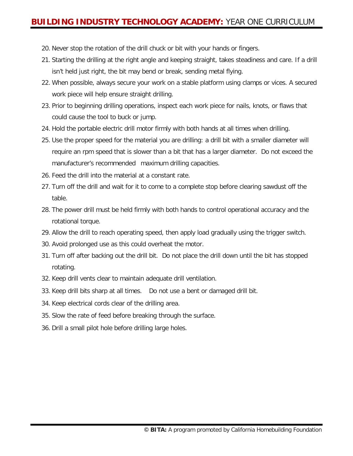## **BUILDING INDUSTRY TECHNOLOGY ACADEMY:** YEAR ONE CURRICULUM

- 20. Never stop the rotation of the drill chuck or bit with your hands or fingers.
- 21. Starting the drilling at the right angle and keeping straight, takes steadiness and care. If a drill isn't held just right, the bit may bend or break, sending metal flying.
- 22. When possible, always secure your work on a stable platform using clamps or vices. A secured work piece will help ensure straight drilling.
- 23. Prior to beginning drilling operations, inspect each work piece for nails, knots, or flaws that could cause the tool to buck or jump.
- 24. Hold the portable electric drill motor firmly with both hands at all times when drilling.
- 25. Use the proper speed for the material you are drilling: a drill bit with a smaller diameter will require an rpm speed that is slower than a bit that has a larger diameter. Do not exceed the manufacturer's recommended maximum drilling capacities.
- 26. Feed the drill into the material at a constant rate.
- 27. Turn off the drill and wait for it to come to a complete stop before clearing sawdust off the table.
- 28. The power drill must be held firmly with both hands to control operational accuracy and the rotational torque.
- 29. Allow the drill to reach operating speed, then apply load gradually using the trigger switch.
- 30. Avoid prolonged use as this could overheat the motor.
- 31. Turn off after backing out the drill bit. Do not place the drill down until the bit has stopped rotating.
- 32. Keep drill vents clear to maintain adequate drill ventilation.
- 33. Keep drill bits sharp at all times. Do not use a bent or damaged drill bit.
- 34. Keep electrical cords clear of the drilling area.
- 35. Slow the rate of feed before breaking through the surface.
- 36. Drill a small pilot hole before drilling large holes.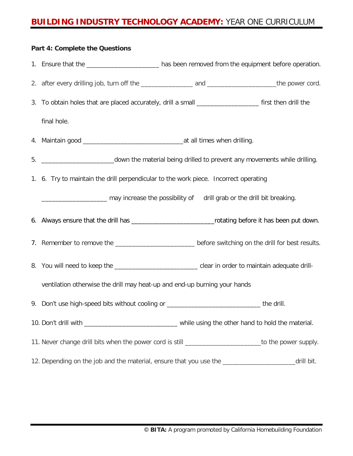## **BUILDING INDUSTRY TECHNOLOGY ACADEMY:** YEAR ONE CURRICULUM

# **Part 4: Complete the Questions** 1. Ensure that the \_\_\_\_\_\_\_\_\_\_\_\_\_\_\_\_\_\_\_\_\_\_\_\_\_ has been removed from the equipment before operation. 2. after every drilling job, turn off the service and and service and the power cord. 3. To obtain holes that are placed accurately, drill a small **Source 10** first then drill the final hole. 4. Maintain good \_\_\_\_\_\_\_\_\_\_\_\_\_\_\_\_\_\_\_\_\_\_\_\_\_\_\_\_\_at all times when drilling. 5. \_\_\_\_\_\_\_\_\_\_\_\_\_\_\_\_\_\_\_\_\_down the material being drilled to prevent any movements while drilling. 1. 6. Try to maintain the drill perpendicular to the work piece. Incorrect operating \_\_\_\_\_\_\_\_\_\_\_\_\_\_\_\_\_\_\_ may increase the possibility of drill grab or the drill bit breaking. 6. Always ensure that the drill has \_\_\_\_\_\_\_\_\_\_\_\_\_\_\_\_\_\_\_\_\_\_\_\_rotating before it has been put down. 7. Remember to remove the \_\_\_\_\_\_\_\_\_\_\_\_\_\_\_\_\_\_\_\_\_\_\_\_\_\_\_\_before switching on the drill for best results. 8. You will need to keep the state of the state of the clear in order to maintain adequate drillventilation otherwise the drill may heat-up and end-up burning your hands 9. Don't use high-speed bits without cooling or \_\_\_\_\_\_\_\_\_\_\_\_\_\_\_\_\_\_\_\_\_\_\_\_\_\_\_\_\_\_\_\_ the drill. 10. Don't drill with \_\_\_\_\_\_\_\_\_\_\_\_\_\_\_\_\_\_\_\_\_\_\_\_\_\_\_ while using the other hand to hold the material. 11. Never change drill bits when the power cord is still \_\_\_\_\_\_\_\_\_\_\_\_\_\_\_\_\_\_\_\_\_\_\_\_\_to the power supply. 12. Depending on the job and the material, ensure that you use the \_\_\_\_\_\_\_\_\_\_\_\_\_\_\_\_\_\_\_\_\_\_\_\_\_drill bit.